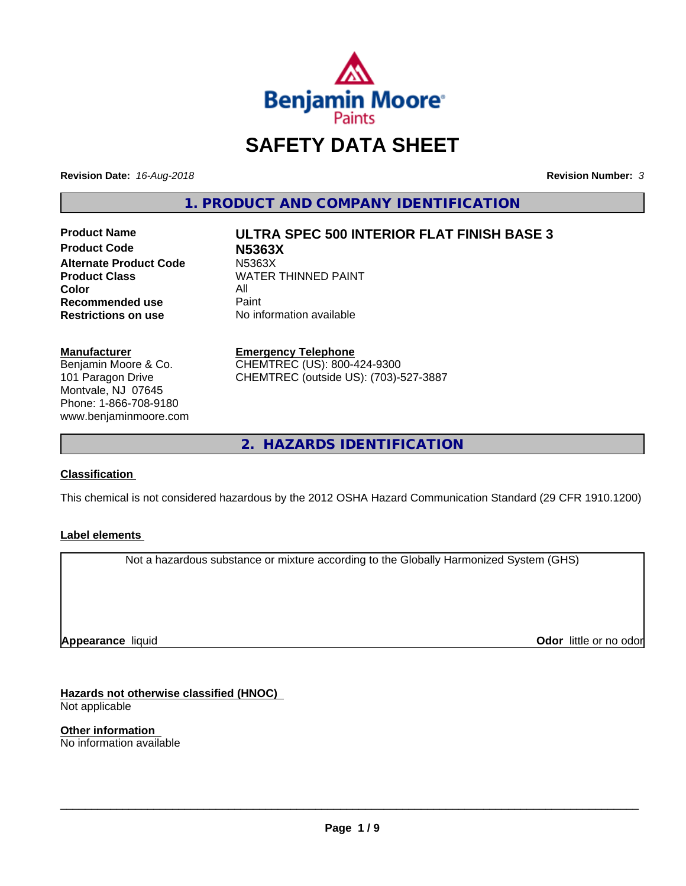

# **SAFETY DATA SHEET**

**Revision Date:** *16-Aug-2018* **Revision Number:** *3*

**1. PRODUCT AND COMPANY IDENTIFICATION**

**Product Code N5363X Alternate Product Code M5363X**<br>Product Class WATER **Color** All<br> **Recommended use** Paint **Recommended use**<br>Restrictions on use

# **Product Name ULTRA SPEC 500 INTERIOR FLAT FINISH BASE 3**

**WATER THINNED PAINT No information available** 

## **Manufacturer**

Benjamin Moore & Co. 101 Paragon Drive Montvale, NJ 07645 Phone: 1-866-708-9180 www.benjaminmoore.com

#### **Emergency Telephone**

CHEMTREC (US): 800-424-9300 CHEMTREC (outside US): (703)-527-3887

**2. HAZARDS IDENTIFICATION**

#### **Classification**

This chemical is not considered hazardous by the 2012 OSHA Hazard Communication Standard (29 CFR 1910.1200)

#### **Label elements**

Not a hazardous substance or mixture according to the Globally Harmonized System (GHS)

**Appearance** liquid

**Odor** little or no odor

**Hazards not otherwise classified (HNOC)** Not applicable

**Other information** No information available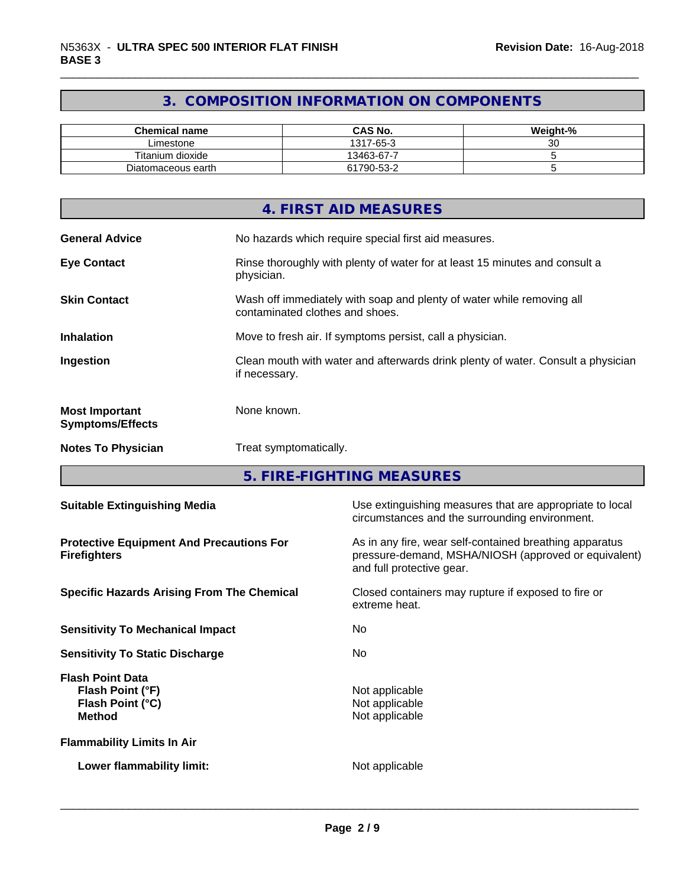# **3. COMPOSITION INFORMATION ON COMPONENTS**

| <b>Chemical name</b> | <b>CAS No.</b> | Weight-% |
|----------------------|----------------|----------|
| Limestone            | 1317-65-3      | ~~<br>ັບ |
| Titanium dioxide     | 13463-67-7     |          |
| Diatomaceous earth   | 61790-53-2     |          |

|                                                  | 4. FIRST AID MEASURES                                                                                    |
|--------------------------------------------------|----------------------------------------------------------------------------------------------------------|
| <b>General Advice</b>                            | No hazards which require special first aid measures.                                                     |
| <b>Eye Contact</b>                               | Rinse thoroughly with plenty of water for at least 15 minutes and consult a<br>physician.                |
| <b>Skin Contact</b>                              | Wash off immediately with soap and plenty of water while removing all<br>contaminated clothes and shoes. |
| <b>Inhalation</b>                                | Move to fresh air. If symptoms persist, call a physician.                                                |
| Ingestion                                        | Clean mouth with water and afterwards drink plenty of water. Consult a physician<br>if necessary.        |
| <b>Most Important</b><br><b>Symptoms/Effects</b> | None known.                                                                                              |
| <b>Notes To Physician</b>                        | Treat symptomatically.                                                                                   |

**5. FIRE-FIGHTING MEASURES**

| <b>Suitable Extinguishing Media</b>                                              | Use extinguishing measures that are appropriate to local<br>circumstances and the surrounding environment.                                   |
|----------------------------------------------------------------------------------|----------------------------------------------------------------------------------------------------------------------------------------------|
| <b>Protective Equipment And Precautions For</b><br><b>Firefighters</b>           | As in any fire, wear self-contained breathing apparatus<br>pressure-demand, MSHA/NIOSH (approved or equivalent)<br>and full protective gear. |
| <b>Specific Hazards Arising From The Chemical</b>                                | Closed containers may rupture if exposed to fire or<br>extreme heat.                                                                         |
| <b>Sensitivity To Mechanical Impact</b>                                          | No.                                                                                                                                          |
| <b>Sensitivity To Static Discharge</b>                                           | No.                                                                                                                                          |
| <b>Flash Point Data</b><br>Flash Point (°F)<br>Flash Point (°C)<br><b>Method</b> | Not applicable<br>Not applicable<br>Not applicable                                                                                           |
| <b>Flammability Limits In Air</b>                                                |                                                                                                                                              |
| Lower flammability limit:                                                        | Not applicable                                                                                                                               |
|                                                                                  |                                                                                                                                              |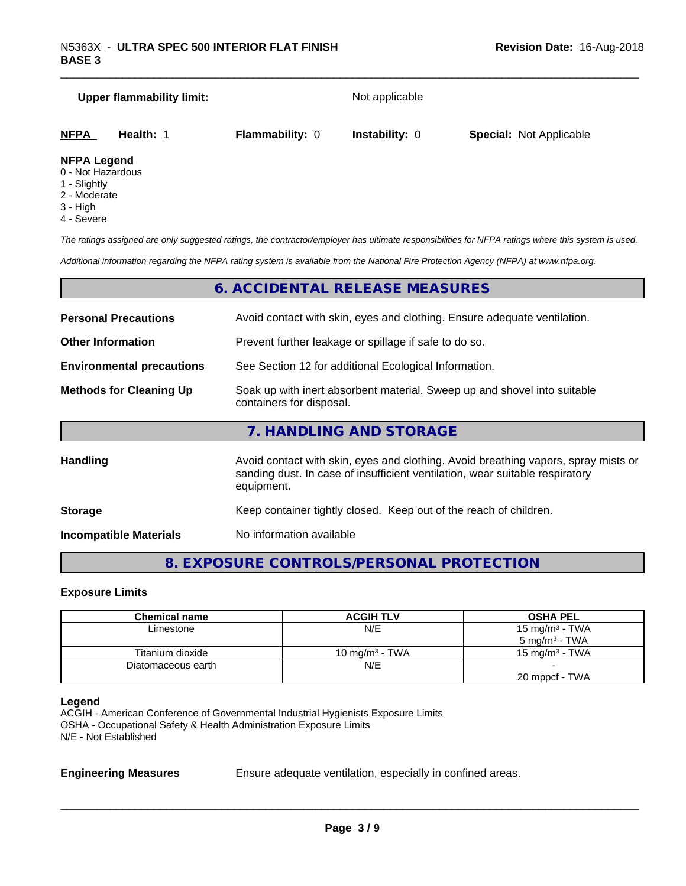|                                         | <b>Upper flammability limit:</b> |                        | Not applicable        |                                |
|-----------------------------------------|----------------------------------|------------------------|-----------------------|--------------------------------|
| <b>NFPA</b>                             | Health: 1                        | <b>Flammability: 0</b> | <b>Instability: 0</b> | <b>Special: Not Applicable</b> |
| <b>NFPA Legend</b><br>0 - Not Hazardous |                                  |                        |                       |                                |

- 0 Not Hazardous
- 1 Slightly
- 2 Moderate
- 3 High
- 4 Severe

*The ratings assigned are only suggested ratings, the contractor/employer has ultimate responsibilities for NFPA ratings where this system is used.*

*Additional information regarding the NFPA rating system is available from the National Fire Protection Agency (NFPA) at www.nfpa.org.*

#### **6. ACCIDENTAL RELEASE MEASURES**

| <b>Personal Precautions</b>      | Avoid contact with skin, eyes and clothing. Ensure adequate ventilation.                                                                                                         |
|----------------------------------|----------------------------------------------------------------------------------------------------------------------------------------------------------------------------------|
| <b>Other Information</b>         | Prevent further leakage or spillage if safe to do so.                                                                                                                            |
| <b>Environmental precautions</b> | See Section 12 for additional Ecological Information.                                                                                                                            |
| <b>Methods for Cleaning Up</b>   | Soak up with inert absorbent material. Sweep up and shovel into suitable<br>containers for disposal.                                                                             |
|                                  | 7. HANDLING AND STORAGE                                                                                                                                                          |
| <b>Handling</b>                  | Avoid contact with skin, eyes and clothing. Avoid breathing vapors, spray mists or<br>sanding dust. In case of insufficient ventilation, wear suitable respiratory<br>equipment. |
| <b>Storage</b>                   | Keep container tightly closed. Keep out of the reach of children.                                                                                                                |
|                                  |                                                                                                                                                                                  |

**Incompatible Materials** No information available

# **8. EXPOSURE CONTROLS/PERSONAL PROTECTION**

#### **Exposure Limits**

| <b>Chemical name</b> | <b>ACGIH TLV</b>  | <b>OSHA PEL</b>            |
|----------------------|-------------------|----------------------------|
| Limestone            | N/E               | 15 mg/m <sup>3</sup> - TWA |
|                      |                   | $5 \text{ mg/m}^3$ - TWA   |
| Titanium dioxide     | 10 mg/m $3$ - TWA | 15 mg/m $3$ - TWA          |
| Diatomaceous earth   | N/E               |                            |
|                      |                   | 20 mppcf - TWA             |

#### **Legend**

ACGIH - American Conference of Governmental Industrial Hygienists Exposure Limits OSHA - Occupational Safety & Health Administration Exposure Limits N/E - Not Established

**Engineering Measures** Ensure adequate ventilation, especially in confined areas.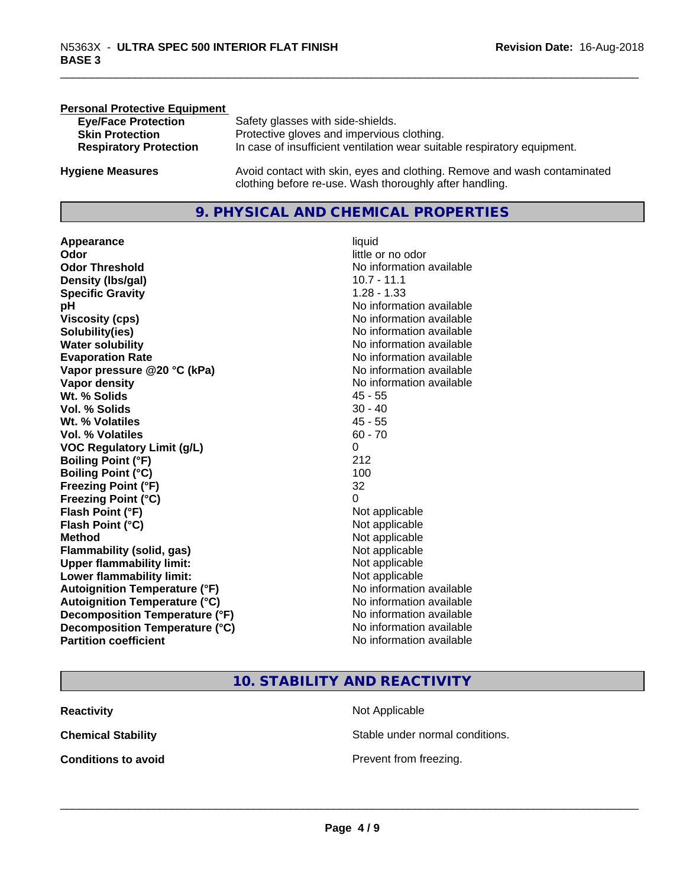| <b>Personal Protective Equipment</b> |                                                                                                                                     |
|--------------------------------------|-------------------------------------------------------------------------------------------------------------------------------------|
| <b>Eye/Face Protection</b>           | Safety glasses with side-shields.                                                                                                   |
| <b>Skin Protection</b>               | Protective gloves and impervious clothing.                                                                                          |
| <b>Respiratory Protection</b>        | In case of insufficient ventilation wear suitable respiratory equipment.                                                            |
| <b>Hygiene Measures</b>              | Avoid contact with skin, eyes and clothing. Remove and wash contaminated<br>clothing before re-use. Wash thoroughly after handling. |

#### **9. PHYSICAL AND CHEMICAL PROPERTIES**

**Appearance** liquid **Odor** little or no odor **Odor Threshold**<br> **Density (Ibs/gal)**<br> **Density (Ibs/gal)**<br> **No information available**<br>
10.7 - 11.1 **Density (Ibs/gal) Specific Gravity** 1.28 - 1.33 **pH pH**  $\blacksquare$ **Viscosity (cps)** No information available<br> **Solubility(ies)** No information available<br>
No information available **Solubility(ies)**<br> **No** information available<br> **Water solubility**<br> **Water solubility Evaporation Rate No information available No information available Vapor pressure @20 °C (kPa)** No information available **Vapor density**<br> **Vapor density**<br> **With % Solids**<br>
With % Solids
2018 Wt. % Solids **Vol. % Solids** 30 - 40 **Wt. % Volatiles** 45 - 55 **Vol. % Volatiles** 60 - 70 **VOC Regulatory Limit (g/L)** 0 **Boiling Point (°F)** 212 **Boiling Point (°C)** 100 **Freezing Point (°F)** 32 **Freezing Point (°C)** 0 **Flash Point (°F)**<br> **Flash Point (°C)**<br> **Flash Point (°C)**<br> **C Flash Point (°C) Method** Not applicable Not applicable **Flammability (solid, gas)**<br> **Upper flammability limit:**<br>
Upper flammability limit:<br>  $\begin{array}{ccc}\n\bullet & \bullet & \bullet \\
\bullet & \bullet & \bullet\n\end{array}$  Not applicable **Upper flammability limit: Lower flammability limit:** Not applicable **Autoignition Temperature (°F)** No information available **Autoignition Temperature (°C)** No information available **Decomposition Temperature (°F)** No information available<br> **Decomposition Temperature (°C)** No information available **Decomposition Temperature (°C)**<br>Partition coefficient

# **No information available No information available**

# **10. STABILITY AND REACTIVITY**

| Reactivity                 |  |
|----------------------------|--|
| Chemical Stability         |  |
| <b>Conditions to avoid</b> |  |

**Reading** Applicable **Chemical Stable under normal conditions.** 

 $\overline{\phantom{a}}$  ,  $\overline{\phantom{a}}$  ,  $\overline{\phantom{a}}$  ,  $\overline{\phantom{a}}$  ,  $\overline{\phantom{a}}$  ,  $\overline{\phantom{a}}$  ,  $\overline{\phantom{a}}$  ,  $\overline{\phantom{a}}$  ,  $\overline{\phantom{a}}$  ,  $\overline{\phantom{a}}$  ,  $\overline{\phantom{a}}$  ,  $\overline{\phantom{a}}$  ,  $\overline{\phantom{a}}$  ,  $\overline{\phantom{a}}$  ,  $\overline{\phantom{a}}$  ,  $\overline{\phantom{a}}$ 

**revent from freezing.**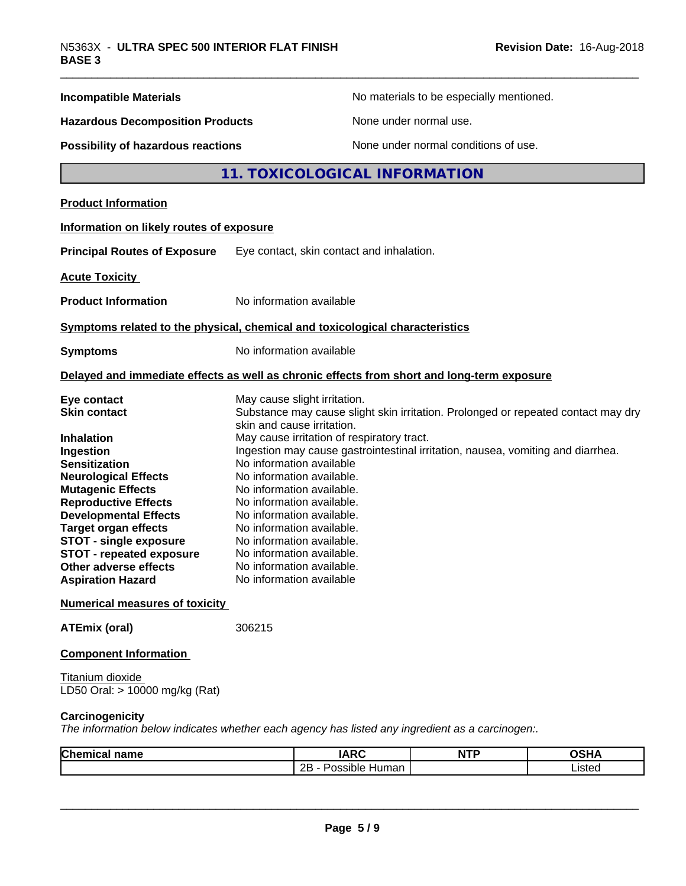| <b>Incompatible Materials</b>                                                                   |                                                                                 |                                                                                                                 | No materials to be especially mentioned. |             |  |
|-------------------------------------------------------------------------------------------------|---------------------------------------------------------------------------------|-----------------------------------------------------------------------------------------------------------------|------------------------------------------|-------------|--|
| <b>Hazardous Decomposition Products</b>                                                         |                                                                                 |                                                                                                                 | None under normal use.                   |             |  |
| <b>Possibility of hazardous reactions</b>                                                       |                                                                                 |                                                                                                                 | None under normal conditions of use.     |             |  |
|                                                                                                 |                                                                                 | 11. TOXICOLOGICAL INFORMATION                                                                                   |                                          |             |  |
| <b>Product Information</b>                                                                      |                                                                                 |                                                                                                                 |                                          |             |  |
| Information on likely routes of exposure                                                        |                                                                                 |                                                                                                                 |                                          |             |  |
| <b>Principal Routes of Exposure</b>                                                             |                                                                                 | Eye contact, skin contact and inhalation.                                                                       |                                          |             |  |
| <b>Acute Toxicity</b>                                                                           |                                                                                 |                                                                                                                 |                                          |             |  |
| <b>Product Information</b>                                                                      |                                                                                 | No information available                                                                                        |                                          |             |  |
| Symptoms related to the physical, chemical and toxicological characteristics                    |                                                                                 |                                                                                                                 |                                          |             |  |
| <b>Symptoms</b>                                                                                 |                                                                                 | No information available                                                                                        |                                          |             |  |
|                                                                                                 |                                                                                 |                                                                                                                 |                                          |             |  |
| Delayed and immediate effects as well as chronic effects from short and long-term exposure      |                                                                                 |                                                                                                                 |                                          |             |  |
| Eye contact                                                                                     |                                                                                 | May cause slight irritation.                                                                                    |                                          |             |  |
| <b>Skin contact</b>                                                                             |                                                                                 | Substance may cause slight skin irritation. Prolonged or repeated contact may dry<br>skin and cause irritation. |                                          |             |  |
| <b>Inhalation</b>                                                                               |                                                                                 | May cause irritation of respiratory tract.                                                                      |                                          |             |  |
| Ingestion                                                                                       | Ingestion may cause gastrointestinal irritation, nausea, vomiting and diarrhea. |                                                                                                                 |                                          |             |  |
| <b>Sensitization</b>                                                                            | No information available                                                        |                                                                                                                 |                                          |             |  |
| <b>Neurological Effects</b>                                                                     | No information available.                                                       |                                                                                                                 |                                          |             |  |
| <b>Mutagenic Effects</b>                                                                        | No information available.                                                       |                                                                                                                 |                                          |             |  |
| <b>Reproductive Effects</b>                                                                     |                                                                                 | No information available.                                                                                       |                                          |             |  |
| <b>Developmental Effects</b>                                                                    | No information available.                                                       |                                                                                                                 |                                          |             |  |
| <b>Target organ effects</b>                                                                     |                                                                                 | No information available.                                                                                       |                                          |             |  |
| <b>STOT - single exposure</b>                                                                   |                                                                                 | No information available.                                                                                       |                                          |             |  |
| <b>STOT - repeated exposure</b>                                                                 |                                                                                 | No information available.                                                                                       |                                          |             |  |
| Other adverse effects                                                                           | No information available.                                                       |                                                                                                                 |                                          |             |  |
| <b>Aspiration Hazard</b>                                                                        |                                                                                 | No information available                                                                                        |                                          |             |  |
| <b>Numerical measures of toxicity</b>                                                           |                                                                                 |                                                                                                                 |                                          |             |  |
| <b>ATEmix (oral)</b>                                                                            | 306215                                                                          |                                                                                                                 |                                          |             |  |
| <b>Component Information</b>                                                                    |                                                                                 |                                                                                                                 |                                          |             |  |
| Titanium dioxide                                                                                |                                                                                 |                                                                                                                 |                                          |             |  |
| LD50 Oral: > 10000 mg/kg (Rat)                                                                  |                                                                                 |                                                                                                                 |                                          |             |  |
| Carcinogenicity                                                                                 |                                                                                 |                                                                                                                 |                                          |             |  |
| The information below indicates whether each agency has listed any ingredient as a carcinogen:. |                                                                                 |                                                                                                                 |                                          |             |  |
| <b>Chemical name</b>                                                                            |                                                                                 | <b>IARC</b>                                                                                                     | <b>NTP</b>                               | <b>OSHA</b> |  |
|                                                                                                 |                                                                                 | 2B - Possible Human                                                                                             |                                          | Listed      |  |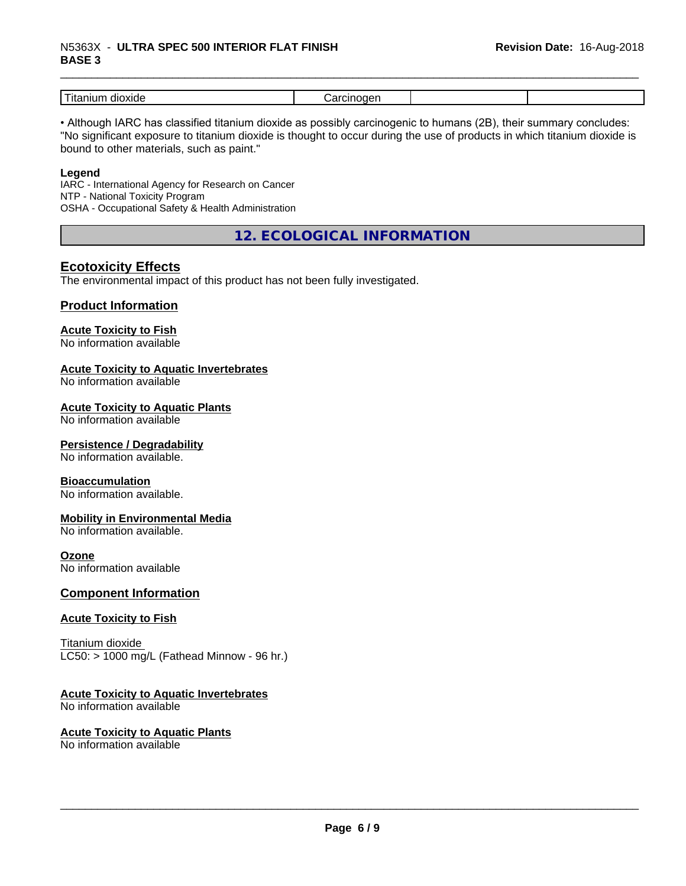# \_\_\_\_\_\_\_\_\_\_\_\_\_\_\_\_\_\_\_\_\_\_\_\_\_\_\_\_\_\_\_\_\_\_\_\_\_\_\_\_\_\_\_\_\_\_\_\_\_\_\_\_\_\_\_\_\_\_\_\_\_\_\_\_\_\_\_\_\_\_\_\_\_\_\_\_\_\_\_\_\_\_\_\_\_\_\_\_\_\_\_\_\_ N5363X - **ULTRA SPEC <sup>500</sup> INTERIOR FLAT FINISH BASE 3**

| .<br>.<br>ш<br>ш |  |  |
|------------------|--|--|

• Although IARC has classified titanium dioxide as possibly carcinogenic to humans (2B), their summary concludes: "No significant exposure to titanium dioxide is thought to occur during the use of products in which titanium dioxide is bound to other materials, such as paint."

#### **Legend**

IARC - International Agency for Research on Cancer NTP - National Toxicity Program OSHA - Occupational Safety & Health Administration

**12. ECOLOGICAL INFORMATION**

## **Ecotoxicity Effects**

The environmental impact of this product has not been fully investigated.

#### **Product Information**

# **Acute Toxicity to Fish**

No information available

#### **Acute Toxicity to Aquatic Invertebrates**

No information available

#### **Acute Toxicity to Aquatic Plants**

No information available

#### **Persistence / Degradability**

No information available.

#### **Bioaccumulation**

No information available.

#### **Mobility in Environmental Media**

No information available.

#### **Ozone**

No information available

#### **Component Information**

#### **Acute Toxicity to Fish**

Titanium dioxide  $LC50:$  > 1000 mg/L (Fathead Minnow - 96 hr.)

#### **Acute Toxicity to Aquatic Invertebrates**

No information available

# **Acute Toxicity to Aquatic Plants**

No information available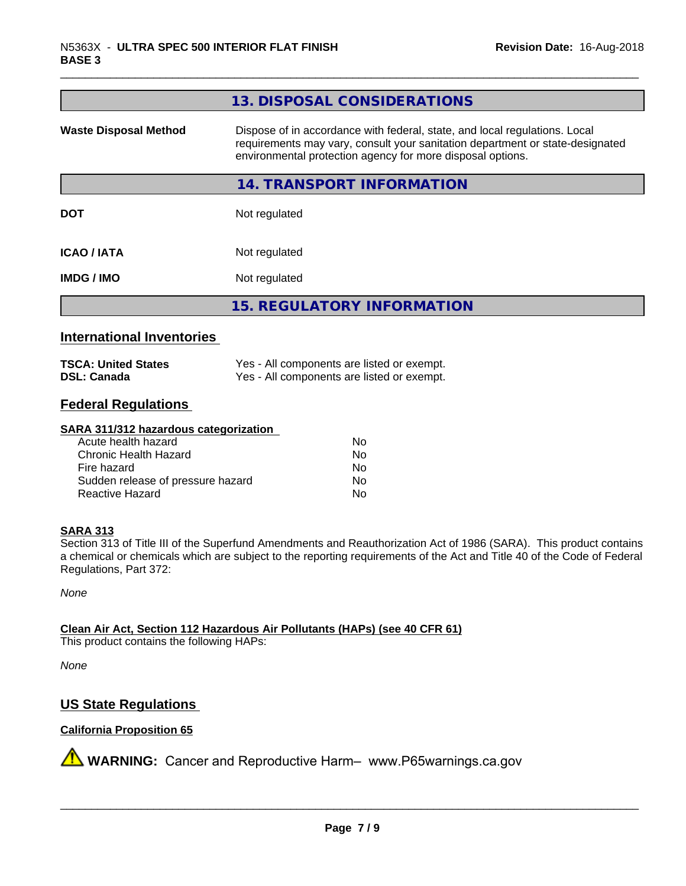| 13. DISPOSAL CONSIDERATIONS                                                                                                                                                                                               |
|---------------------------------------------------------------------------------------------------------------------------------------------------------------------------------------------------------------------------|
| Dispose of in accordance with federal, state, and local regulations. Local<br>requirements may vary, consult your sanitation department or state-designated<br>environmental protection agency for more disposal options. |
| 14. TRANSPORT INFORMATION                                                                                                                                                                                                 |
| Not regulated                                                                                                                                                                                                             |
| Not regulated                                                                                                                                                                                                             |
| Not regulated                                                                                                                                                                                                             |
| <b>15. REGULATORY INFORMATION</b>                                                                                                                                                                                         |
|                                                                                                                                                                                                                           |

#### **International Inventories**

| <b>TSCA: United States</b> | Yes - All components are listed or exempt. |
|----------------------------|--------------------------------------------|
| <b>DSL: Canada</b>         | Yes - All components are listed or exempt. |

# **Federal Regulations**

#### **SARA 311/312 hazardous categorization**

| Acute health hazard               | Nο |
|-----------------------------------|----|
| Chronic Health Hazard             | N٥ |
| Fire hazard                       | N٥ |
| Sudden release of pressure hazard | N٥ |
| Reactive Hazard                   | Nο |

#### **SARA 313**

Section 313 of Title III of the Superfund Amendments and Reauthorization Act of 1986 (SARA). This product contains a chemical or chemicals which are subject to the reporting requirements of the Act and Title 40 of the Code of Federal Regulations, Part 372:

*None*

**Clean Air Act,Section 112 Hazardous Air Pollutants (HAPs) (see 40 CFR 61)**

This product contains the following HAPs:

*None*

# **US State Regulations**

#### **California Proposition 65**

**A** WARNING: Cancer and Reproductive Harm– www.P65warnings.ca.gov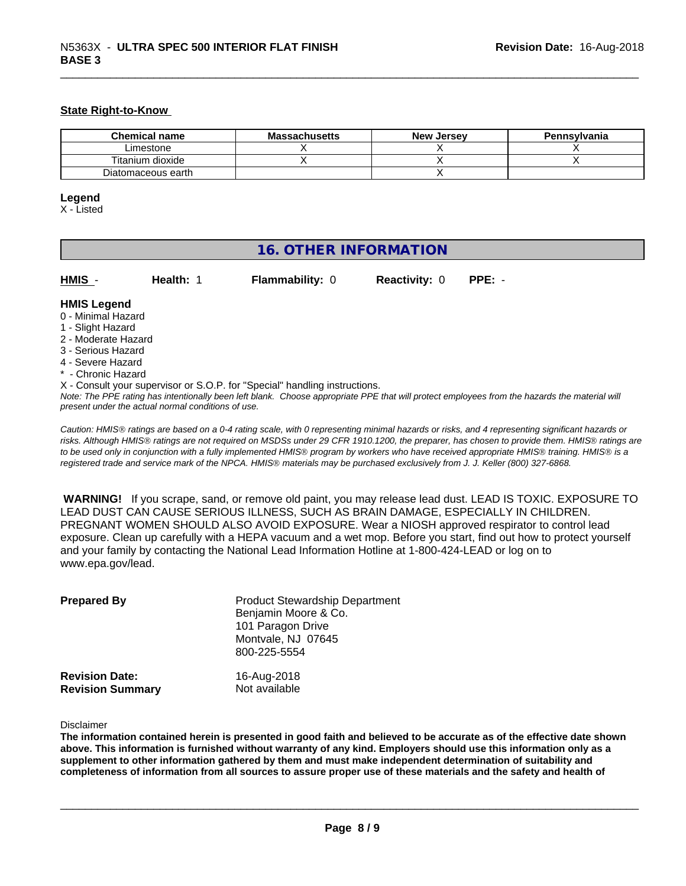#### **State Right-to-Know**

| <b>Chemical name</b> | <b>Massachusetts</b> | <b>New Jersey</b> | Pennsylvania |
|----------------------|----------------------|-------------------|--------------|
| Limestone            |                      |                   |              |
| Titanium dioxide     |                      |                   |              |
| Diatomaceous earth   |                      |                   |              |

#### **Legend**

X - Listed

# **16. OTHER INFORMATION**

| <b>HMIS</b> |  |  |
|-------------|--|--|
|             |  |  |

**Health: 1 Flammability: 0 Reactivity: 0 PPE: -**

#### **HMIS Legend**

- 0 Minimal Hazard
- 1 Slight Hazard
- 2 Moderate Hazard
- 3 Serious Hazard
- 4 Severe Hazard
- \* Chronic Hazard
- X Consult your supervisor or S.O.P. for "Special" handling instructions.

*Note: The PPE rating has intentionally been left blank. Choose appropriate PPE that will protect employees from the hazards the material will present under the actual normal conditions of use.*

*Caution: HMISÒ ratings are based on a 0-4 rating scale, with 0 representing minimal hazards or risks, and 4 representing significant hazards or risks. Although HMISÒ ratings are not required on MSDSs under 29 CFR 1910.1200, the preparer, has chosen to provide them. HMISÒ ratings are to be used only in conjunction with a fully implemented HMISÒ program by workers who have received appropriate HMISÒ training. HMISÒ is a registered trade and service mark of the NPCA. HMISÒ materials may be purchased exclusively from J. J. Keller (800) 327-6868.*

 **WARNING!** If you scrape, sand, or remove old paint, you may release lead dust. LEAD IS TOXIC. EXPOSURE TO LEAD DUST CAN CAUSE SERIOUS ILLNESS, SUCH AS BRAIN DAMAGE, ESPECIALLY IN CHILDREN. PREGNANT WOMEN SHOULD ALSO AVOID EXPOSURE.Wear a NIOSH approved respirator to control lead exposure. Clean up carefully with a HEPA vacuum and a wet mop. Before you start, find out how to protect yourself and your family by contacting the National Lead Information Hotline at 1-800-424-LEAD or log on to www.epa.gov/lead.

| <b>Prepared By</b>                               | <b>Product Stewardship Department</b><br>Benjamin Moore & Co.<br>101 Paragon Drive<br>Montvale, NJ 07645<br>800-225-5554 |  |
|--------------------------------------------------|--------------------------------------------------------------------------------------------------------------------------|--|
| <b>Revision Date:</b><br><b>Revision Summary</b> | 16-Aug-2018<br>Not available                                                                                             |  |

Disclaimer

The information contained herein is presented in good faith and believed to be accurate as of the effective date shown above. This information is furnished without warranty of any kind. Employers should use this information only as a **supplement to other information gathered by them and must make independent determination of suitability and** completeness of information from all sources to assure proper use of these materials and the safety and health of